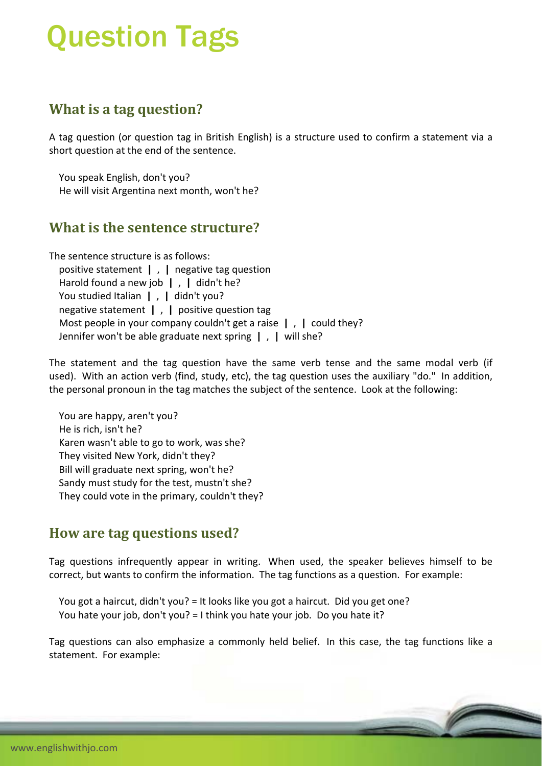# Question Tags

### **What is a tag question?**

A tag question (or question tag in British English) is a structure used to confirm a statement via a short question at the end of the sentence.

 You speak English, don't you? He will visit Argentina next month, won't he?

#### **What is the sentence structure?**

The sentence structure is as follows: positive statement **|** , **|** negative tag question Harold found a new job **|** , **|** didn't he? You studied Italian | , | didn't you? negative statement **|** , **|** positive question tag Most people in your company couldn't get a raise **|** , **|** could they? Jennifer won't be able graduate next spring **|** , **|** will she?

The statement and the tag question have the same verb tense and the same modal verb (if used). With an action verb (find, study, etc), the tag question uses the auxiliary "do." In addition, the personal pronoun in the tag matches the subject of the sentence. Look at the following:

 You are happy, aren't you? He is rich, isn't he? Karen wasn't able to go to work, was she? They visited New York, didn't they? Bill will graduate next spring, won't he? Sandy must study for the test, mustn't she? They could vote in the primary, couldn't they?

#### **How are tag questions used?**

Tag questions infrequently appear in writing. When used, the speaker believes himself to be correct, but wants to confirm the information. The tag functions as a question. For example:

 You got a haircut, didn't you? = It looks like you got a haircut. Did you get one? You hate your job, don't you? = I think you hate your job. Do you hate it?

Tag questions can also emphasize a commonly held belief. In this case, the tag functions like a statement. For example: